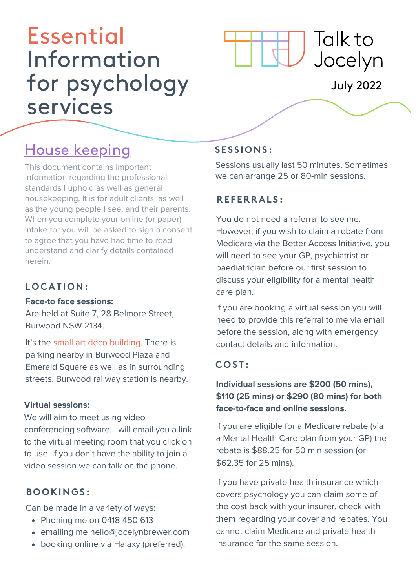# Essential Information for psychology services



# July 2022

# House keeping

This document contains important information regarding the professional standards I uphold as well as general housekeeping. It is for adult clients, as well as the young people I see, and their parents. When you complete your online (or paper) intake for you will be asked to sign a consent to agree that you have had time to read, understand and clarify details contained herein.

## **LOC AT ION:**

#### **Face-to face sessions:**

Are held at Suite 7, 28 Belmore Street, Burwood NSW 2134.

It's the small art deco building. There is parking nearby in Burwood Plaza and Emerald Square as well as in surrounding streets. Burwood railway station is nearby.

#### **Virtual [sessions:](https://www.halaxy.com/book/jocelyn-brewer-burwood/location/554181)**

We will aim to meet using video [conferencing](https://www.halaxy.com/book/jocelyn-brewer-burwood/location/554181) software. I will email you a link to the virtual meeting room that you click on to use. If you don't have the ability to join a video session we can talk on the phone.

#### **BOOKINGS :**

Can be made in a variety of ways:

- Phoning me on 0418 450 613
- emailing me [hello@jocelynbrewer.com](mailto:hello@jocelynbrewer.com)
- [booking](https://www.halaxy.com/book/jocelyn-brewer-burwood/location/554181) online via Halaxy (preferred).

# **S E S S IONS :**

Sessions usually last 50 minutes. Sometimes we can arrange 25 or 80-min sessions.

## **RE F ERRAL S :**

You do not need a referral to see me. However, if you wish to claim a rebate from Medicare via the Better Access Initiative, you will need to see your GP, psychiatrist or paediatrician before our first session to discuss your eligibility for a mental health care plan.

If you are booking a virtual session you will need to provide this referral to me via email before the session, along with emergency contact details and information.

#### **COS T :**

#### **Individual sessions are \$200 (50 mins), \$110 (25 mins) or \$290 (80 mins) for both face-to-face and online sessions.**

If you are eligible for a Medicare rebate (via a Mental Health Care plan from your GP) the rebate is \$88.25 for 50 min session (or \$62.35 for 25 mins).

If you have private health insurance which covers psychology you can claim some of the cost back with your insurer, check with them regarding your cover and rebates. You cannot claim Medicare and private health insurance for the same session.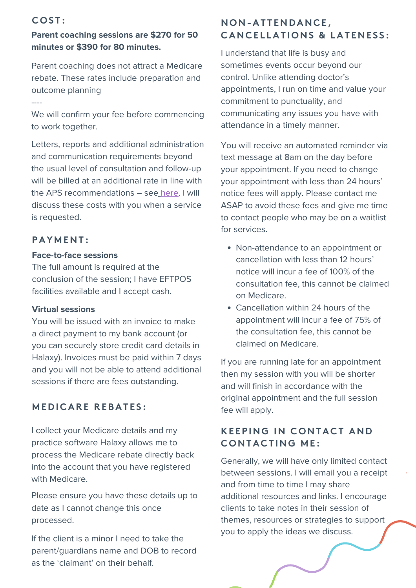#### **COS T :**

----

#### **Parent coaching sessions are \$270 for 50 minutes or \$390 for 80 minutes.**

Parent coaching does not attract a Medicare rebate. These rates include preparation and outcome planning

We will confirm your fee before commencing to work together.

Letters, reports and additional administration and communication requirements beyond the usual level of consultation and follow-up will be billed at an additional rate in line with the APS recommendations – see [here](https://drive.google.com/file/d/1o56G8aoNbodWiBNGj089x-FMLsumftgR/view?usp=sharing). I will discuss these costs with you when a service is requested.

#### **PAY M ENT :**

#### **Face-to-face sessions**

The full amount is required at the conclusion of the session; I have EFTPOS facilities available and I accept cash.

#### **Virtual sessions**

You will be issued with an invoice to make a direct payment to my bank account (or you can securely store credit card details in Halaxy). Invoices must be paid within 7 days and you will not be able to attend additional sessions if there are fees outstanding.

#### **M E D I C ARE REBAT E S :**

I collect your Medicare details and my practice software Halaxy allows me to process the Medicare rebate directly back into the account that you have registered with Medicare.

Please ensure you have these details up to date as I cannot change this once processed.

If the client is a minor I need to take the parent/guardians name and DOB to record as the 'claimant' on their behalf.

#### **NON-AT T END ANC E , C ANC E L LAT IONS & LAT ENE S S :**

I understand that life is busy and sometimes events occur beyond our control. Unlike attending doctor's appointments, I run on time and value your commitment to punctuality, and communicating any issues you have with attendance in a timely manner.

You will receive an automated reminder via text message at 8am on the day before your appointment. If you need to change your appointment with less than 24 hours' notice fees will apply. Please contact me ASAP to avoid these fees and give me time to contact people who may be on a waitlist for services.

- Non-attendance to an appointment or cancellation with less than 12 hours' notice will incur a fee of 100% of the consultation fee, this cannot be claimed on Medicare.
- Cancellation within 24 hours of the appointment will incur a fee of 75% of the consultation fee, this cannot be claimed on Medicare.

If you are running late for an appointment then my session with you will be shorter and will finish in accordance with the original appointment and the full session fee will apply.

#### **KEEPING IN CONTACT AND CONTA C T ING M E :**

Generally, we will have only limited contact between sessions. I will email you a receipt and from time to time I may share additional resources and links. I encourage clients to take notes in their session of themes, resources or strategies to support you to apply the ideas we discuss.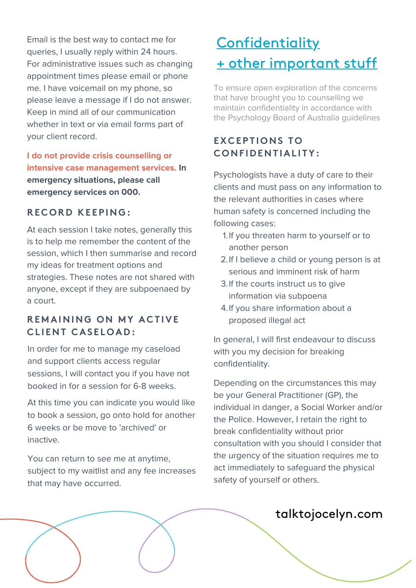Email is the best way to contact me for queries, I usually reply within 24 hours. For administrative issues such as changing appointment times please email or phone me. I have voicemail on my phone, so please leave a message if I do not answer. Keep in mind all of our communication whether in text or via email forms part of your client record.

**I do not provide crisis counselling or intensive case management services. In emergency situations, please call emergency services on 000.**

#### **RE COR D KE EPING:**

At each session I take notes, generally this is to help me remember the content of the session, which I then summarise and record my ideas for treatment options and strategies. These notes are not shared with anyone, except if they are subpoenaed by a court.

#### **RE M AINING ON M Y A C T IVE C L I ENT C AS E LOA D :**

In order for me to manage my caseload and support clients access regular sessions, I will contact you if you have not booked in for a session for 6-8 weeks.

At this time you can indicate you would like to book a session, go onto hold for another 6 weeks or be move to 'archived' or inactive.

You can return to see me at anytime, subject to my waitlist and any fee increases that may have occurred.

# **Confidentiality** + other important stuff

To ensure open exploration of the concerns that have brought you to counselling we maintain confidentiality in accordance with the Psychology Board of Australia guidelines

# **EX C EPT IONS TO CONF I D ENT IAL I TY:**

Psychologists have a duty of care to their clients and must pass on any information to the relevant authorities in cases where human safety is concerned including the following cases:

- 1. If you threaten harm to yourself or to another person
- 2. If I believe a child or young person is at serious and imminent risk of harm
- 3. If the courts instruct us to give information via subpoena
- 4. If you share information about a proposed illegal act

In general, I will first endeavour to discuss with you my decision for breaking confidentiality.

Depending on the circumstances this may be your General Practitioner (GP), the individual in danger, a Social Worker and/or the Police. However, I retain the right to break confidentiality without prior consultation with you should I consider that the urgency of the situation requires me to act immediately to safeguard the physical safety of yourself or others.

# talktojocelyn.com